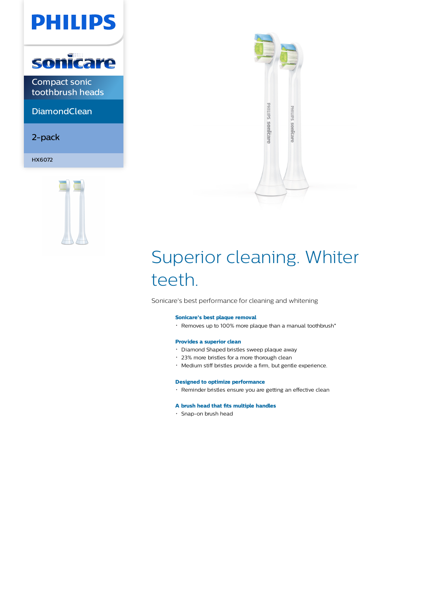



Compact sonic toothbrush heads

**DiamondClean** 

2-pack

HX6072





# Superior cleaning. Whiter teeth.

Sonicare's best performance for cleaning and whitening

#### **Sonicare's best plaque removal**

 $\cdot$  Removes up to 100% more plaque than a manual toothbrush\*

### **Provides a superior clean**

- Diamond Shaped bristles sweep plaque away
- 23% more bristles for a more thorough clean
- Medium stiff bristles provide a firm, but gentle experience.

#### **Designed to optimize performance**

Reminder bristles ensure you are getting an effective clean

#### **A brush head that fits multiple handles**

Snap-on brush head